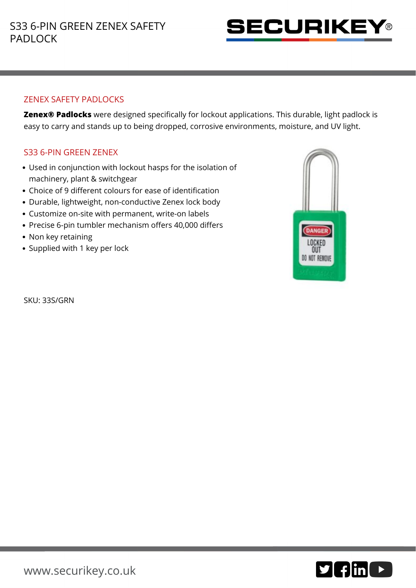

## ZENEX SAFETY PADLOCKS

**Zenex® Padlocks** were designed specifically for lockout applications. This durable, light padlock is easy to carry and stands up to being dropped, corrosive environments, moisture, and UV light.

## S33 6-PIN GREEN ZENEX

- Used in conjunction with lockout hasps for the isolation of machinery, plant & switchgear
- Choice of 9 different colours for ease of identification
- Durable, lightweight, non-conductive Zenex lock body
- Customize on-site with permanent, write-on labels
- Precise 6-pin tumbler mechanism offers 40,000 differs
- Non key retaining
- Supplied with 1 key per lock

DANGER LOCKED OUT DO NOT REMOVE

SKU: 33S/GRN

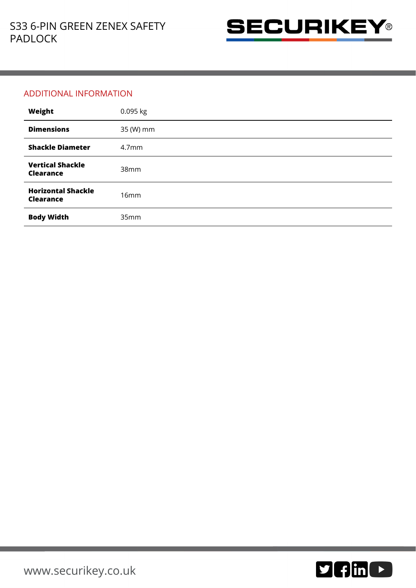

## ADDITIONAL INFORMATION

| Weight                                        | 0.095 kg          |
|-----------------------------------------------|-------------------|
| <b>Dimensions</b>                             | 35 (W) mm         |
| <b>Shackle Diameter</b>                       | 4.7 <sub>mm</sub> |
| <b>Vertical Shackle</b><br><b>Clearance</b>   | 38 <sub>mm</sub>  |
| <b>Horizontal Shackle</b><br><b>Clearance</b> | 16mm              |
| <b>Body Width</b>                             | 35mm              |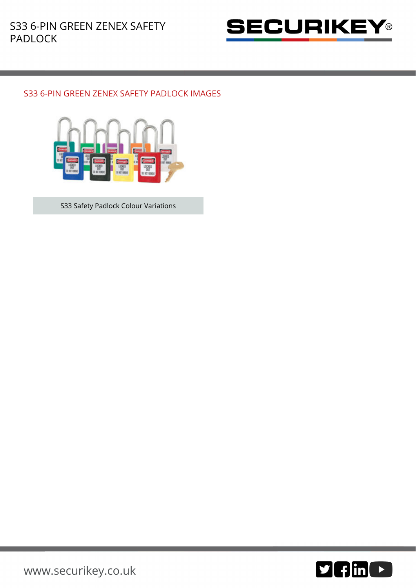

## S33 6-PIN GREEN ZENEX SAFETY PADLOCK IMAGES



S33 Safety Padlock Colour Variations